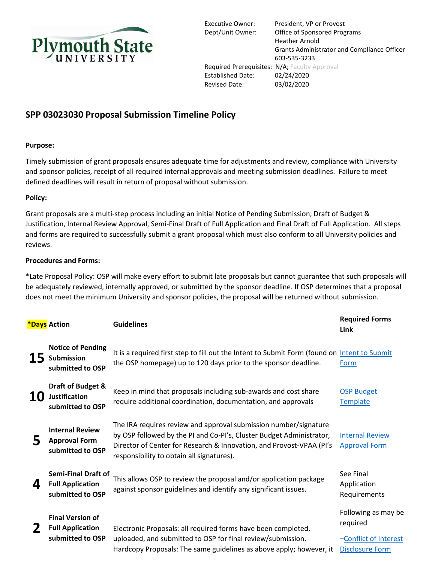

Executive Owner: President, VP or Provost Dept/Unit Owner: Office of Sponsored Programs Heather Arnold Grants Administrator and Compliance Officer 603-535-3233 Required Prerequisites: N/A; Faculty Approval Established Date: 02/24/2020 Revised Date: 03/02/2020

## **SPP 03023030 Proposal Submission Timeline Policy**

## **Purpose:**

Timely submission of grant proposals ensures adequate time for adjustments and review, compliance with University and sponsor policies, receipt of all required internal approvals and meeting submission deadlines. Failure to meet defined deadlines will result in return of proposal without submission.

## **Policy:**

Grant proposals are a multi-step process including an initial Notice of Pending Submission, Draft of Budget & Justification, Internal Review Approval, Semi-Final Draft of Full Application and Final Draft of Full Application. All steps and forms are required to successfully submit a grant proposal which must also conform to all University policies and reviews.

## **Procedures and Forms:**

\*Late Proposal Policy: OSP will make every effort to submit late proposals but cannot guarantee that such proposals will be adequately reviewed, internally approved, or submitted by the sponsor deadline. If OSP determines that a proposal does not meet the minimum University and sponsor policies, the proposal will be returned without submission.

|    | <b>*Days</b> Action                                                       | <b>Guidelines</b>                                                                                                                                                                                                                                             | <b>Required Forms</b><br>Link                                                      |
|----|---------------------------------------------------------------------------|---------------------------------------------------------------------------------------------------------------------------------------------------------------------------------------------------------------------------------------------------------------|------------------------------------------------------------------------------------|
| 15 | <b>Notice of Pending</b><br>Submission<br>submitted to OSP                | It is a required first step to fill out the Intent to Submit Form (found on Intent to Submit<br>the OSP homepage) up to 120 days prior to the sponsor deadline.                                                                                               | Form                                                                               |
| 10 | Draft of Budget &<br><b>Justification</b><br>submitted to OSP             | Keep in mind that proposals including sub-awards and cost share<br>require additional coordination, documentation, and approvals                                                                                                                              | <b>OSP Budget</b><br>Template                                                      |
| 5  | <b>Internal Review</b><br><b>Approval Form</b><br>submitted to OSP        | The IRA requires review and approval submission number/signature<br>by OSP followed by the PI and Co-PI's, Cluster Budget Administrator,<br>Director of Center for Research & Innovation, and Provost-VPAA (PI's<br>responsibility to obtain all signatures). | <b>Internal Review</b><br><b>Approval Form</b>                                     |
| 4  | <b>Semi-Final Draft of</b><br><b>Full Application</b><br>submitted to OSP | This allows OSP to review the proposal and/or application package<br>against sponsor guidelines and identify any significant issues.                                                                                                                          | See Final<br>Application<br>Requirements                                           |
|    | <b>Final Version of</b><br><b>Full Application</b><br>submitted to OSP    | Electronic Proposals: all required forms have been completed,<br>uploaded, and submitted to OSP for final review/submission.<br>Hardcopy Proposals: The same guidelines as above apply; however, it                                                           | Following as may be<br>required<br>-Conflict of Interest<br><b>Disclosure Form</b> |